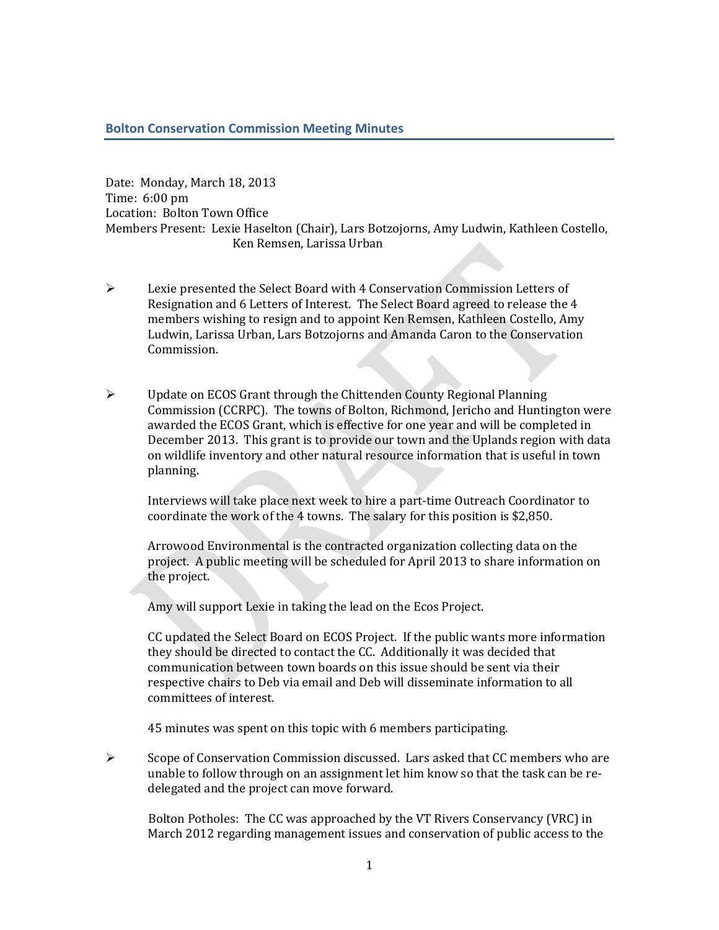## **Bolton Conservation Commission Meeting Minutes**

Date: Monday, March 18, 2013 Time:  $6:00$  pm Location: Bolton Town Office Members Present: Lexie Haselton (Chair), Lars Botzojorns, Amy Ludwin, Kathleen Costello, Ken Remsen, Larissa Urban

- $\triangleright$  Lexie presented the Select Board with 4 Conservation Commission Letters of Resignation and 6 Letters of Interest. The Select Board agreed to release the 4 members wishing to resign and to appoint Ken Remsen, Kathleen Costello, Amy Ludwin, Larissa Urban, Lars Botzojorns and Amanda Caron to the Conservation Commission.
- $\triangleright$  Update on ECOS Grant through the Chittenden County Regional Planning Commission (CCRPC). The towns of Bolton, Richmond, Jericho and Huntington were awarded the ECOS Grant, which is effective for one year and will be completed in December 2013. This grant is to provide our town and the Uplands region with data on wildlife inventory and other natural resource information that is useful in town planning.

Interviews will take place next week to hire a part-time Outreach Coordinator to coordinate the work of the 4 towns. The salary for this position is \$2,850.

Arrowood Environmental is the contracted organization collecting data on the project. A public meeting will be scheduled for April 2013 to share information on the project.

Amy will support Lexie in taking the lead on the Ecos Project.

CC updated the Select Board on ECOS Project. If the public wants more information they should be directed to contact the CC. Additionally it was decided that communication between town boards on this issue should be sent via their respective chairs to Deb via email and Deb will disseminate information to all committees of interest.

45 minutes was spent on this topic with 6 members participating.

 $\triangleright$  Scope of Conservation Commission discussed. Lars asked that CC members who are unable to follow through on an assignment let him know so that the task can be redelegated and the project can move forward.

Bolton Potholes: The CC was approached by the VT Rivers Conservancy (VRC) in March 2012 regarding management issues and conservation of public access to the